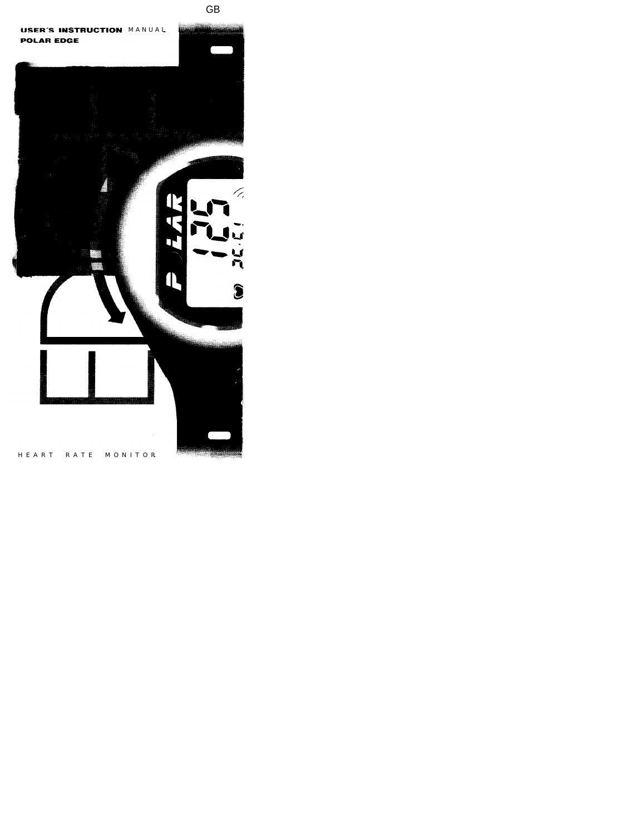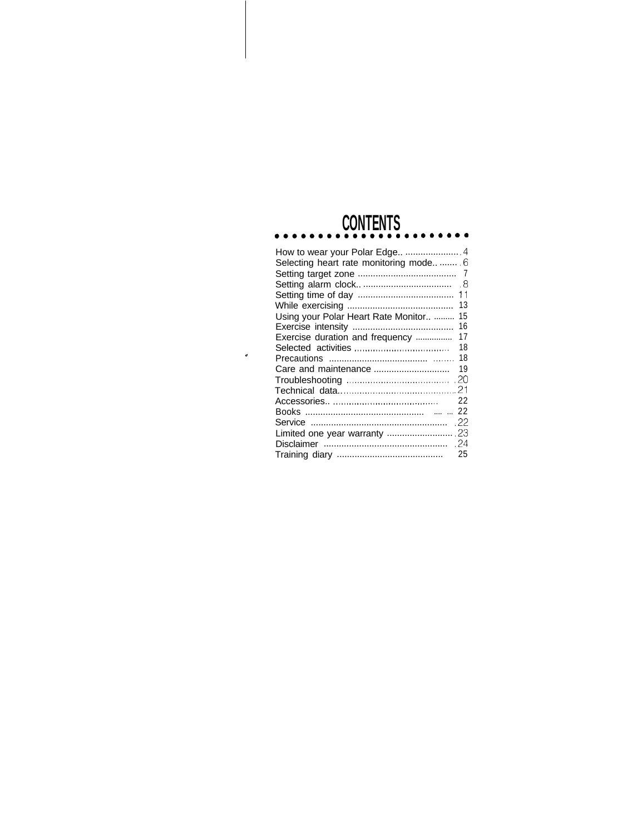# **CONTENTS** ........

| Selecting heart rate monitoring mode 6 |     |
|----------------------------------------|-----|
|                                        | - 7 |
|                                        | . 8 |
|                                        | 11  |
|                                        | 13  |
| Using your Polar Heart Rate Monitor    | 15  |
|                                        | 16  |
| Exercise duration and frequency        | 17  |
|                                        | 18  |
|                                        | 18  |
|                                        | 19  |
|                                        | -20 |
|                                        | 21  |
|                                        | 22  |
|                                        |     |
|                                        | .22 |
|                                        |     |
|                                        | .24 |
|                                        | 25  |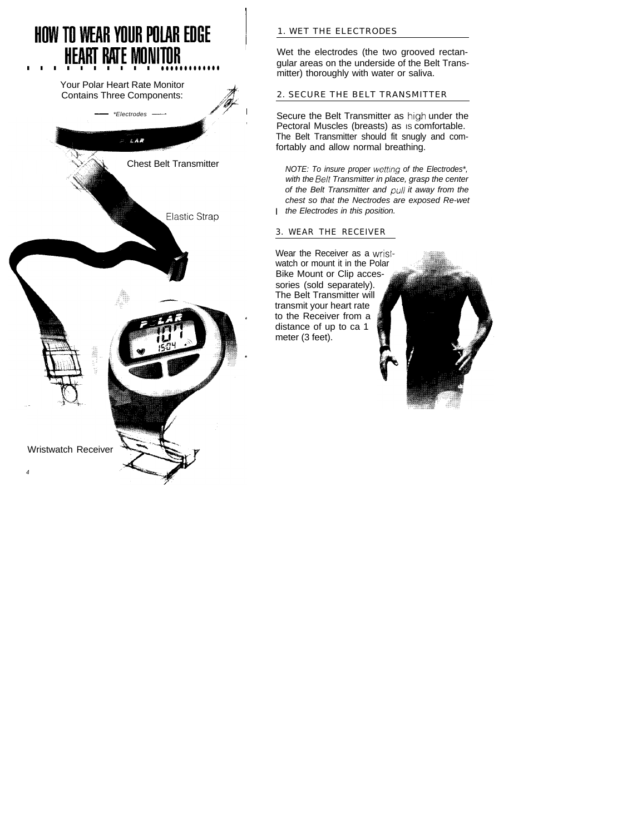## **HOWTOWEARYOURPOlAREDGE <sup>~</sup> HEARTRATEMONITOR <sup>I</sup> . . . . . . . . . . ..\*e\*~~~~~\*a@**



#### 1. WET THE ELECTRODES

Wet the electrodes (the two grooved rectangular areas on the underside of the Belt Transmitter) thoroughly with water or saliva.

#### 2. SECURE THE BELT TRANSMITTER

Secure the Belt Transmitter as high under the Pectoral Muscles (breasts) as is comfortable. The Belt Transmitter should fit snugly and comfortably and allow normal breathing.

I *the Electrodes in this position. NOTE: To insure proper wetting of the Electrodes\*, with the Belt Transmitter in place, grasp the center of the Belt Transmitter and pull it away from the chest so that the Nectrodes are exposed Re-wet*

#### 3. WEAR THE RECEIVER

Wear the Receiver as a wristwatch or mount it in the Polar Bike Mount or Clip accessories (sold separately). The Belt Transmitter will transmit your heart rate to the Receiver from a distance of up to ca 1 meter (3 feet).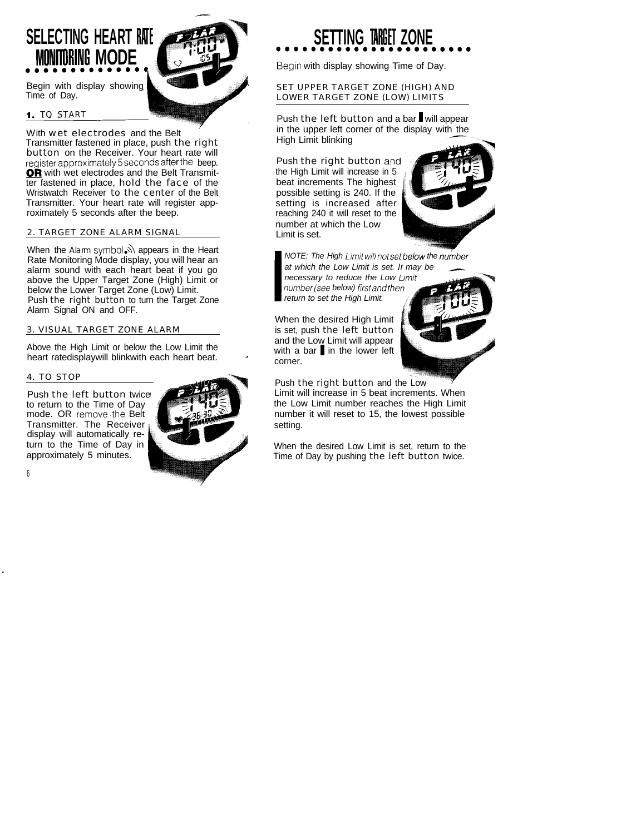### **SELECTING HEART RATE MONITORING MODE**

Begin with display showing Time of Day.

#### I. TO START

With wet electrodes and the Belt Transmitter fastened in place, push the right button on the Receiver. Your heart rate will register approximately 5 seconds after the beep. OR with wet electrodes and the Belt Transmitter fastened in place, hold the face of the Wristwatch Receiver to the center of the Belt Transmitter. Your heart rate will register approximately 5 seconds after the beep.

#### 2. TARGET ZONE ALARM SIGNAL

When the Alarm symbol. appears in the Heart Rate Monitoring Mode display, you will hear an alarm sound with each heart beat if you go above the Upper Target Zone (High) Limit or below the Lower Target Zone (Low) Limit. Push the right button to turn the Target Zone Alarm Signal ON and OFF.

#### 3. VISUAL TARGET ZONE ALARM

Above the High Limit or below the Low Limit the heart ratedisplaywill blinkwith each heart beat.

#### 4. TO STOP

Push the left button twice to return to the Time of Day mode. OR remove.the Belt Transmitter. The Receiver display will automatically return to the Time of Day in approximately 5 minutes.



## **SETTING TARGET ZONE**

Begin with display showing Time of Day.

SET UPPER TARGET ZONE (HIGH) AND LOWER TARGET ZONE (LOW) LIMITS

Push the left button and a bar will appear in the upper left corner of the display with the High Limit blinking

Push the right button and the High Limit will increase in 5 beat increments The highest possible setting is 240. If the setting is increased after reaching 240 it will reset to the number at which the Low Limit is set.



**I** *number(see below) firstand thr NOTE: The High Limit will not set below the number at which the Low Limit is set. It may be I\_\_ necessary to reduce the Low return to set the High Limit.*

When the desired High Limit is set, push the left button and the Low Limit will appear with a bar  $\mathbf{I}$  in the lower left corner.

Push the right button and the Low Limit will increase in 5 beat increments. When the Low Limit number reaches the High Limit number it will reset to 15, the lowest possible setting.

When the desired Low Limit is set, return to the Time of Day by pushing the left button twice.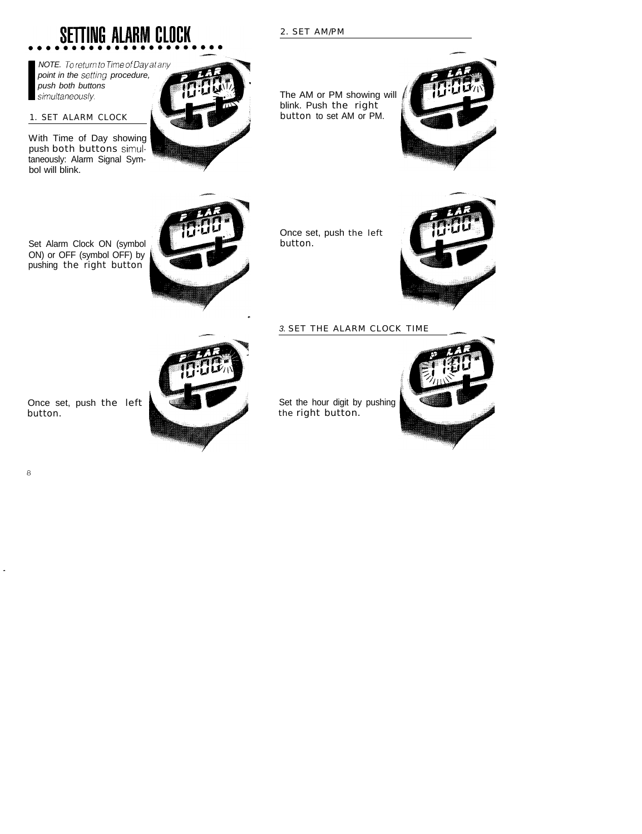2. SET AM/PM

blink. Push the right button to set AM or PM.

The AM or PM showing will

Set Alarm Clock ON (symbol ON) or OFF (symbol OFF) by pushing the right button

Once set, push the left button.



Once set, push the left







## **SETTING ALARM CLOCK**

push both butto<br>
simultaneously. *NOTE. To return to Time of Day at any point in the setting procedure, push both buttons*

#### 1. SET ALARM CLOCK

With Time of Day showing push both buttons simultaneously: Alarm Signal Symbol will blink.

button.

#### 3. **SET THE ALARM CLOCK TIME**

Set the hour digit by pushing the right button.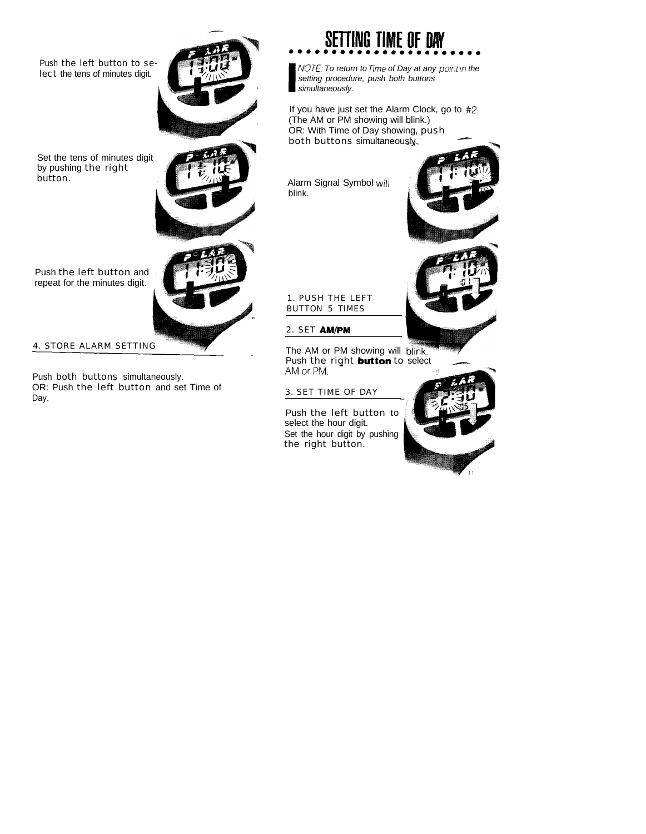Push the left button to select the tens of minutes digit.

Set the tens of minutes digit by pushing the right button.

Push the left button and repeat for the minutes digit.

4. STORE ALARM SETTING

Push both buttons simultaneously. OR: Push the left button and set Time of Day.



## **SETTING TIME OF DAY**

**I** *NOTE, To return to fime of Day at any point in the setting procedure, push both buttons simultaneously.*

If you have just set the Alarm Clock, go to #2. (The AM or PM showing will blink.) OR: With Time of Day showing, push If you have just set the Alarm Clock, go to  $#$ <br>(The AM or PM showing will blink.)<br>OR: With Time of Day showing, push<br>both buttons simultaneously.

Alarm Signal Symbol will blink.





1. PUSH THE LEFT BUTTON 5 TIMES

#### 2. SET AM/PM

The AM or PM showing will blink. Push the right **button** to select AM or PM.

#### 3. SET TIME OF DAY

Push the left button to select the hour digit. Set the hour digit by pushing the right button.

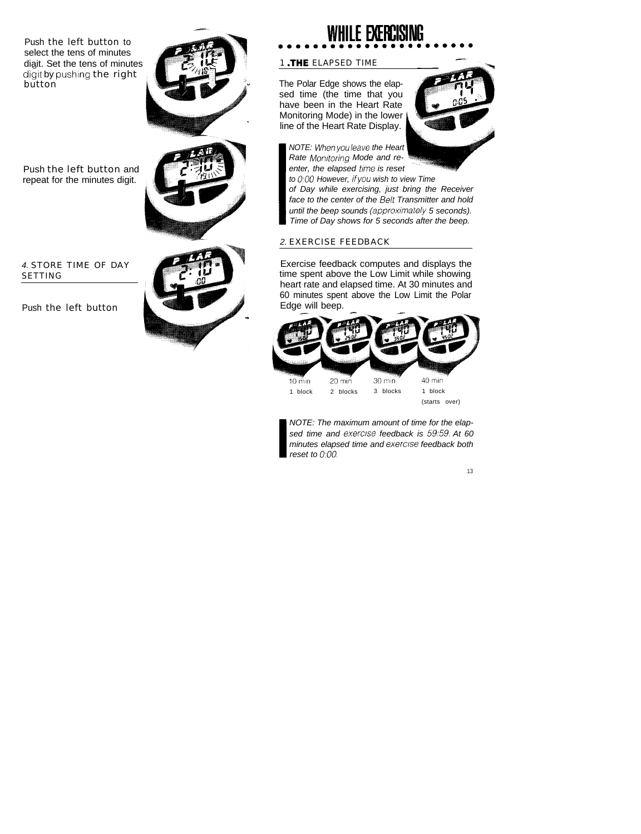Push the left button to select the tens of minutes diait. Set the tens of minutes digit by pushing the right button

Push the left button and repeat for the minutes digit.

#### *4.* STORE TIME OF DAY SETTING

Push the left button

# I



## WHILE EXERCISING

#### 1 .THE ELAPSED TIME

The Polar Edge shows the elapsed time (the time that you have been in the Heart Rate Monitoring Mode) in the lower line of the Heart Rate Display.



*NOTE: Whenyouleave the Heart Rate Monitoring Mode and re*enter, the elapsed time is reset

*to 0:OO However, ifyou wish to view Time of Day while exercising, just bring the Receiver* **I** *Time of Day shows for 5 seconds after the beep. face to the center of the Belt Transmitter and hold until the beep sounds (approximately 5 seconds).*

#### *2.* EXERCISE FEEDBACK

Exercise feedback computes and displays the time spent above the Low Limit while showing heart rate and elapsed time. At 30 minutes and 60 minutes spent above the Low Limit the Polar<br>Edge will beep. Edge will beep.



minutes elapsed time and exercise feedback both<br>reset to 0:00. *NOTE: The maximum amount of time for the elapsed time and exercise feedback is 59:59. At 60 reset to 0.00.*